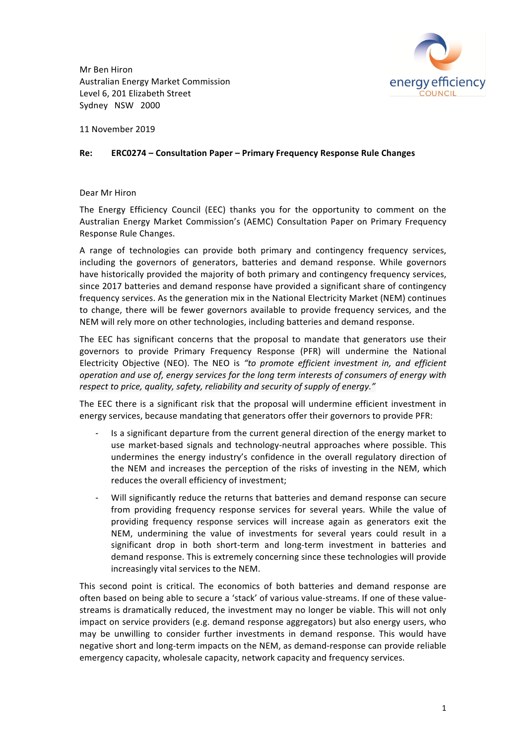Mr Ben Hiron Australian Energy Market Commission Level 6, 201 Elizabeth Street Sydney NSW 2000



11 November 2019

## **Re: ERC0274 – Consultation Paper – Primary Frequency Response Rule Changes**

## Dear Mr Hiron

The Energy Efficiency Council (EEC) thanks you for the opportunity to comment on the Australian Energy Market Commission's (AEMC) Consultation Paper on Primary Frequency Response Rule Changes.

A range of technologies can provide both primary and contingency frequency services, including the governors of generators, batteries and demand response. While governors have historically provided the majority of both primary and contingency frequency services, since 2017 batteries and demand response have provided a significant share of contingency frequency services. As the generation mix in the National Electricity Market (NEM) continues to change, there will be fewer governors available to provide frequency services, and the NEM will rely more on other technologies, including batteries and demand response.

The EEC has significant concerns that the proposal to mandate that generators use their governors to provide Primary Frequency Response (PFR) will undermine the National Electricity Objective (NEO). The NEO is "to promote efficient investment in, and efficient operation and use of, energy services for the long term interests of consumers of energy with respect to price, quality, safety, reliability and security of supply of energy."

The EEC there is a significant risk that the proposal will undermine efficient investment in energy services, because mandating that generators offer their governors to provide PFR:

- Is a significant departure from the current general direction of the energy market to use market-based signals and technology-neutral approaches where possible. This undermines the energy industry's confidence in the overall regulatory direction of the NEM and increases the perception of the risks of investing in the NEM, which reduces the overall efficiency of investment;
- Will significantly reduce the returns that batteries and demand response can secure from providing frequency response services for several years. While the value of providing frequency response services will increase again as generators exit the NEM, undermining the value of investments for several years could result in a significant drop in both short-term and long-term investment in batteries and demand response. This is extremely concerning since these technologies will provide increasingly vital services to the NEM.

This second point is critical. The economics of both batteries and demand response are often based on being able to secure a 'stack' of various value-streams. If one of these valuestreams is dramatically reduced, the investment may no longer be viable. This will not only impact on service providers (e.g. demand response aggregators) but also energy users, who may be unwilling to consider further investments in demand response. This would have negative short and long-term impacts on the NEM, as demand-response can provide reliable emergency capacity, wholesale capacity, network capacity and frequency services.